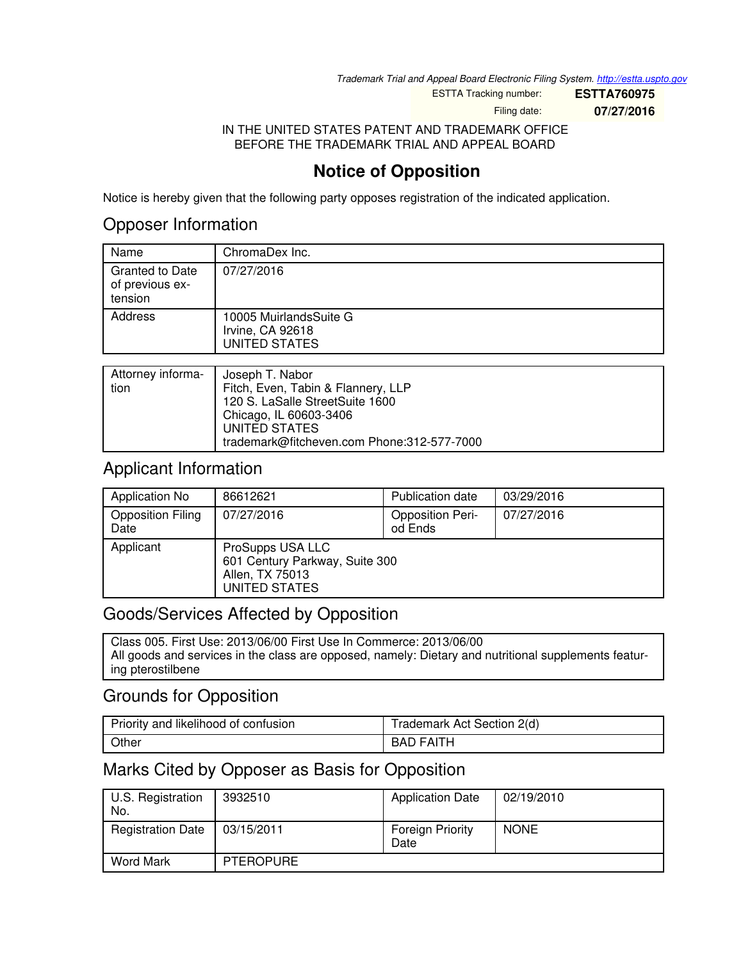*Trademark Trial and Appeal Board Electronic Filing System. <http://estta.uspto.gov>*

ESTTA Tracking number: **ESTTA760975**

Filing date: **07/27/2016**

IN THE UNITED STATES PATENT AND TRADEMARK OFFICE BEFORE THE TRADEMARK TRIAL AND APPEAL BOARD

## **Notice of Opposition**

Notice is hereby given that the following party opposes registration of the indicated application.

## Opposer Information

| Name                                          | ChromaDex Inc.                                                   |
|-----------------------------------------------|------------------------------------------------------------------|
| Granted to Date<br>of previous ex-<br>tension | 07/27/2016                                                       |
| Address                                       | 10005 MuirlandsSuite G<br>Irvine, CA 92618<br>UNITED STATES      |
|                                               |                                                                  |
|                                               | $\mathbf{1}$ $\mathbf{1}$ $\mathbf{1}$ $\mathbf{1}$ $\mathbf{1}$ |

| Attorney informa- | Joseph T. Nabor                            |
|-------------------|--------------------------------------------|
| tion              | Fitch, Even, Tabin & Flannery, LLP         |
|                   | 120 S. LaSalle StreetSuite 1600            |
|                   | Chicago, IL 60603-3406                     |
|                   | UNITED STATES                              |
|                   | trademark@fitcheven.com Phone:312-577-7000 |

### Applicant Information

| Application No                   | 86612621                                                                               | Publication date                   | 03/29/2016 |
|----------------------------------|----------------------------------------------------------------------------------------|------------------------------------|------------|
| <b>Opposition Filing</b><br>Date | 07/27/2016                                                                             | <b>Opposition Peri-</b><br>od Ends | 07/27/2016 |
| Applicant                        | ProSupps USA LLC<br>601 Century Parkway, Suite 300<br>Allen, TX 75013<br>UNITED STATES |                                    |            |

### Goods/Services Affected by Opposition

Class 005. First Use: 2013/06/00 First Use In Commerce: 2013/06/00 All goods and services in the class are opposed, namely: Dietary and nutritional supplements featuring pterostilbene

## Grounds for Opposition

| Priority and likelihood of confusion | Trademark Act Section 2(d) |
|--------------------------------------|----------------------------|
| Other                                | FAITH<br><b>BAD</b>        |

## Marks Cited by Opposer as Basis for Opposition

| U.S. Registration<br>No. | 3932510          | <b>Application Date</b>         | 02/19/2010  |
|--------------------------|------------------|---------------------------------|-------------|
| <b>Registration Date</b> | 03/15/2011       | <b>Foreign Priority</b><br>Date | <b>NONE</b> |
| <b>Word Mark</b>         | <b>PTEROPURE</b> |                                 |             |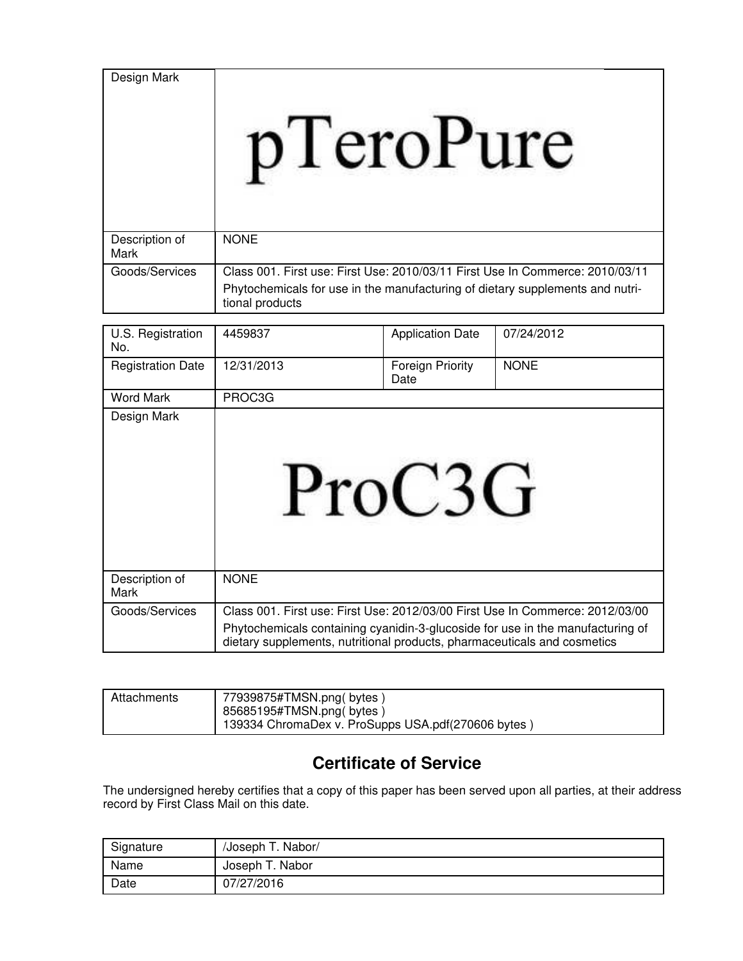| Design Mark            | eroru                                                                                                                                                                             |
|------------------------|-----------------------------------------------------------------------------------------------------------------------------------------------------------------------------------|
| Description of<br>Mark | <b>NONE</b>                                                                                                                                                                       |
| Goods/Services         | Class 001, First use: First Use: 2010/03/11 First Use In Commerce: 2010/03/11<br>Phytochemicals for use in the manufacturing of dietary supplements and nutri-<br>tional products |
| $\sim$ $\sim$ $\sim$   |                                                                                                                                                                                   |

| U.S. Registration<br>No. | 4459837                                                                                                                                                    | <b>Application Date</b>  | 07/24/2012                                                                    |
|--------------------------|------------------------------------------------------------------------------------------------------------------------------------------------------------|--------------------------|-------------------------------------------------------------------------------|
| <b>Registration Date</b> | 12/31/2013                                                                                                                                                 | Foreign Priority<br>Date | <b>NONE</b>                                                                   |
| <b>Word Mark</b>         | PROC3G                                                                                                                                                     |                          |                                                                               |
| Design Mark              | ProC:                                                                                                                                                      |                          |                                                                               |
| Description of<br>Mark   | <b>NONE</b>                                                                                                                                                |                          |                                                                               |
| Goods/Services           | Phytochemicals containing cyanidin-3-glucoside for use in the manufacturing of<br>dietary supplements, nutritional products, pharmaceuticals and cosmetics |                          | Class 001. First use: First Use: 2012/03/00 First Use In Commerce: 2012/03/00 |

| Attachments | 77939875#TMSN.png(bytes)<br>85685195#TMSN.png(bytes)<br>139334 ChromaDex v. ProSupps USA.pdf(270606 bytes) |
|-------------|------------------------------------------------------------------------------------------------------------|

# **Certificate of Service**

The undersigned hereby certifies that a copy of this paper has been served upon all parties, at their address record by First Class Mail on this date.

| Signature | /Joseph T. Nabor/ |
|-----------|-------------------|
| Name      | Joseph T. Nabor   |
| Date      | 07/27/2016        |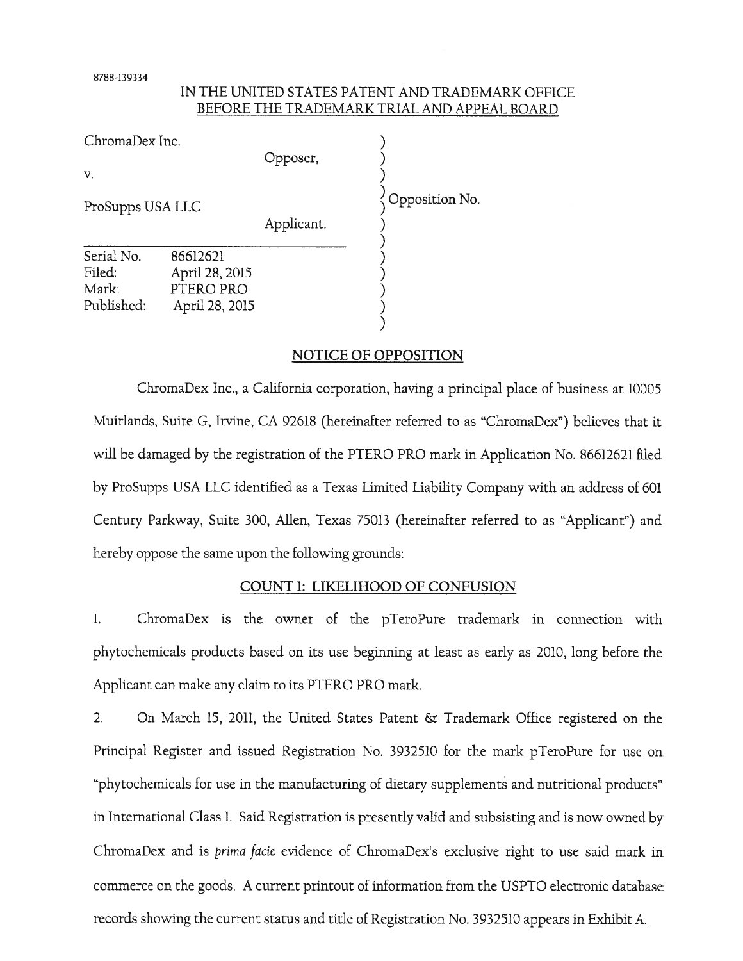8788-139334

### IN THE UNITED STATES PATENT AND TRADEMARK OFFICE BEFORE THE TRADEMARK TRIAL AND APPEAL BOARD

ChromaDex Inc. Opposer,  $V_{\cdot}$ Opposition No. ProSupps USA LLC Applicant. Serial No. 86612621 Filed: April 28, 2015 Mark: PTERO PRO Published: April 28, 2015

### NOTICE OF OPPOSITION

ChromaDex Inc., a California corporation, having a principal place of business at 10005 Muirlands, Suite G, Irvine, CA 92618 (hereinafter referred to as "ChromaDex") believes that it will be damaged by the registration of the PTERO PRO mark in Application No. 86612621 filed by ProSupps USA LLC identified as a Texas Limited Liability Company with an address of 601 Century Parkway, Suite 300, Allen, Texas 75013 (hereinafter referred to as "Applicant") and hereby oppose the same upon the following grounds:

### COUNT 1: LIKELIHOOD OF CONFUSION

 $\mathbf{1}$ . ChromaDex is the owner of the pTeroPure trademark in connection with phytochemicals products based on its use beginning at least as early as 2010, long before the Applicant can make any claim to its PTERO PRO mark.

 $\mathcal{D}_{\alpha}$ On March 15, 2011, the United States Patent & Trademark Office registered on the Principal Register and issued Registration No. 3932510 for the mark pTeroPure for use on "phytochemicals for use in the manufacturing of dietary supplements and nutritional products" in International Class 1. Said Registration is presently valid and subsisting and is now owned by ChromaDex and is *prima facie* evidence of ChromaDex's exclusive right to use said mark in commerce on the goods. A current printout of information from the USPTO electronic database records showing the current status and title of Registration No. 3932510 appears in Exhibit A.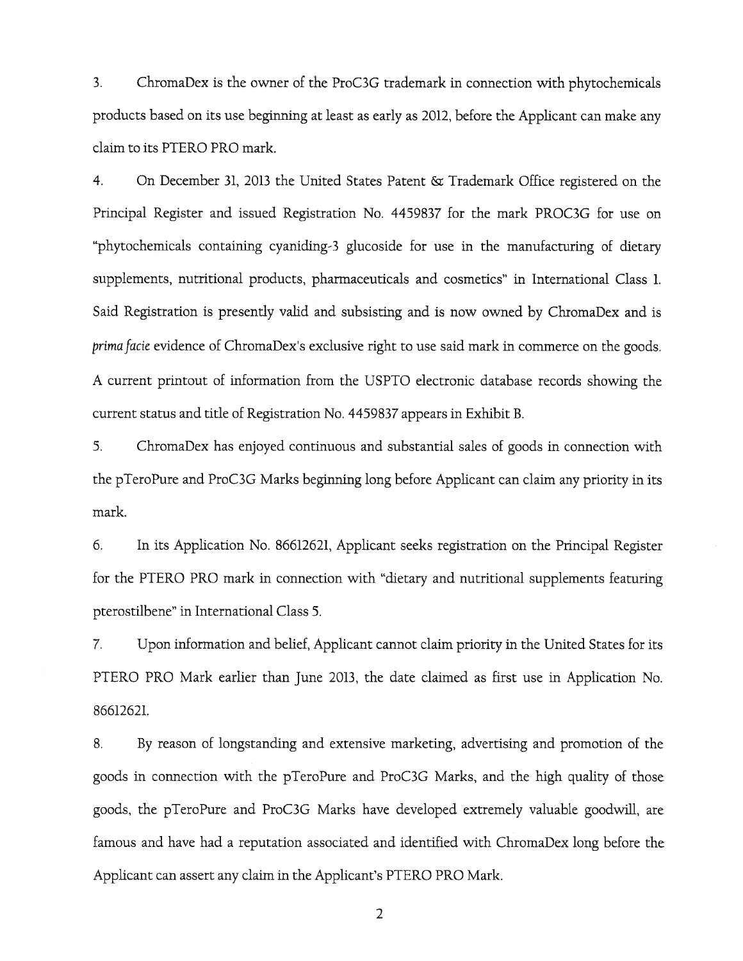$3.$ ChromaDex is the owner of the ProC3G trademark in connection with phytochemicals products based on its use beginning at least as early as 2012, before the Applicant can make any claim to its PTERO PRO mark.

 $\overline{4}$ . On December 31, 2013 the United States Patent & Trademark Office registered on the Principal Register and issued Registration No. 4459837 for the mark PROC3G for use on "phytochemicals containing cyaniding-3 glucoside for use in the manufacturing of dietary supplements, nutritional products, pharmaceuticals and cosmetics" in International Class 1. Said Registration is presently valid and subsisting and is now owned by ChromaDex and is prima facie evidence of ChromaDex's exclusive right to use said mark in commerce on the goods. A current printout of information from the USPTO electronic database records showing the current status and title of Registration No. 4459837 appears in Exhibit B.

5. ChromaDex has enjoyed continuous and substantial sales of goods in connection with the pTeroPure and ProC3G Marks beginning long before Applicant can claim any priority in its mark.

6. In its Application No. 86612621, Applicant seeks registration on the Principal Register for the PTERO PRO mark in connection with "dietary and nutritional supplements featuring pterostilbene" in International Class 5.

7. Upon information and belief, Applicant cannot claim priority in the United States for its PTERO PRO Mark earlier than June 2013, the date claimed as first use in Application No. 86612621.

8. By reason of longstanding and extensive marketing, advertising and promotion of the goods in connection with the pTeroPure and ProC3G Marks, and the high quality of those goods, the pTeroPure and ProC3G Marks have developed extremely valuable goodwill, are famous and have had a reputation associated and identified with ChromaDex long before the Applicant can assert any claim in the Applicant's PTERO PRO Mark.

2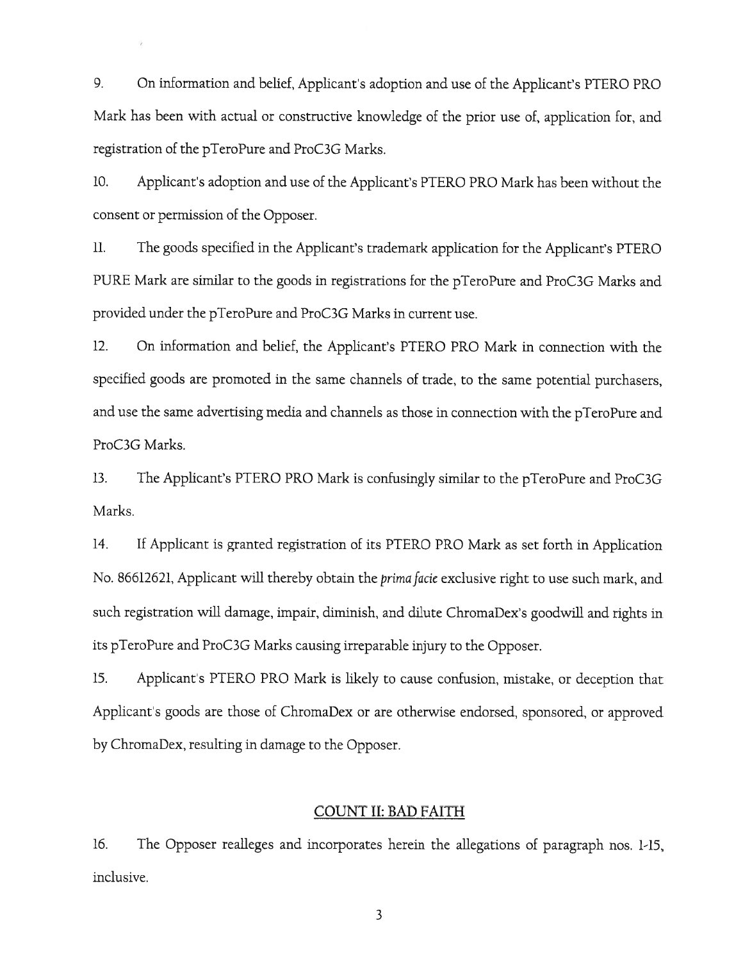9. On information and belief, Applicant's adoption and use of the Applicant's PTERO PRO Mark has been with actual or constructive knowledge of the prior use of, application for, and registration of the pTeroPure and ProC3G Marks.

10. Applicant's adoption and use of the Applicant's PTERO PRO Mark has been without the consent or permission of the Opposer.

The goods specified in the Applicant's trademark application for the Applicant's PTERO  $ll.$ PURE Mark are similar to the goods in registrations for the pTeroPure and ProC3G Marks and provided under the pTeroPure and ProC3G Marks in current use.

12. On information and belief, the Applicant's PTERO PRO Mark in connection with the specified goods are promoted in the same channels of trade, to the same potential purchasers, and use the same advertising media and channels as those in connection with the pTeroPure and ProC3G Marks.

 $13.$ The Applicant's PTERO PRO Mark is confusingly similar to the pTeroPure and ProC3G Marks.

14. If Applicant is granted registration of its PTERO PRO Mark as set forth in Application No. 86612621, Applicant will thereby obtain the *prima facie* exclusive right to use such mark, and such registration will damage, impair, diminish, and dilute ChromaDex's goodwill and rights in its pTeroPure and ProC3G Marks causing irreparable injury to the Opposer.

15. Applicant's PTERO PRO Mark is likely to cause confusion, mistake, or deception that Applicant's goods are those of ChromaDex or are otherwise endorsed, sponsored, or approved by ChromaDex, resulting in damage to the Opposer.

#### **COUNT II: BAD FAITH**

The Opposer realleges and incorporates herein the allegations of paragraph nos. 1-15, 16. inclusive.

3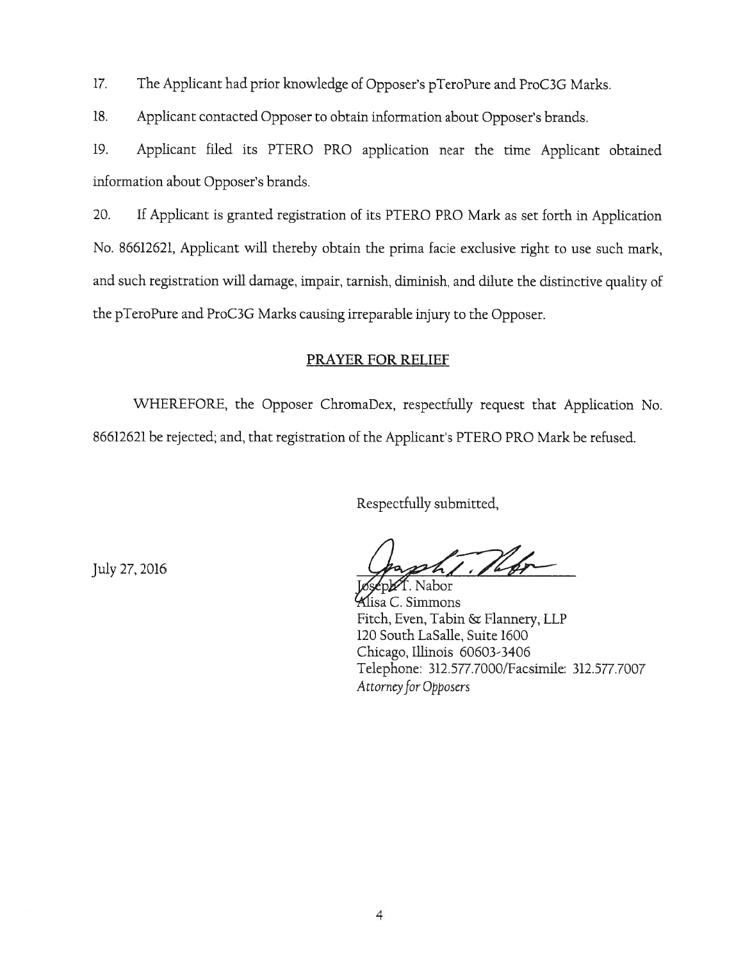$17.$ The Applicant had prior knowledge of Opposer's pTeroPure and ProC3G Marks.

18. Applicant contacted Opposer to obtain information about Opposer's brands.

Applicant filed its PTERO PRO application near the time Applicant obtained 19. information about Opposer's brands.

If Applicant is granted registration of its PTERO PRO Mark as set forth in Application 20. No. 86612621, Applicant will thereby obtain the prima facie exclusive right to use such mark, and such registration will damage, impair, tarnish, diminish, and dilute the distinctive quality of the pTeroPure and ProC3G Marks causing irreparable injury to the Opposer.

### PRAYER FOR RELIEF

WHEREFORE, the Opposer ChromaDex, respectfully request that Application No. 86612621 be rejected; and, that registration of the Applicant's PTERO PRO Mark be refused.

Respectfully submitted,

July 27, 2016

a C. Simmons Fitch, Even, Tabin & Flannery, LLP 120 South LaSalle, Suite 1600 Chicago, Illinois 60603-3406 Telephone: 312.577.7000/Facsimile: 312.577.7007 Attorney for Opposers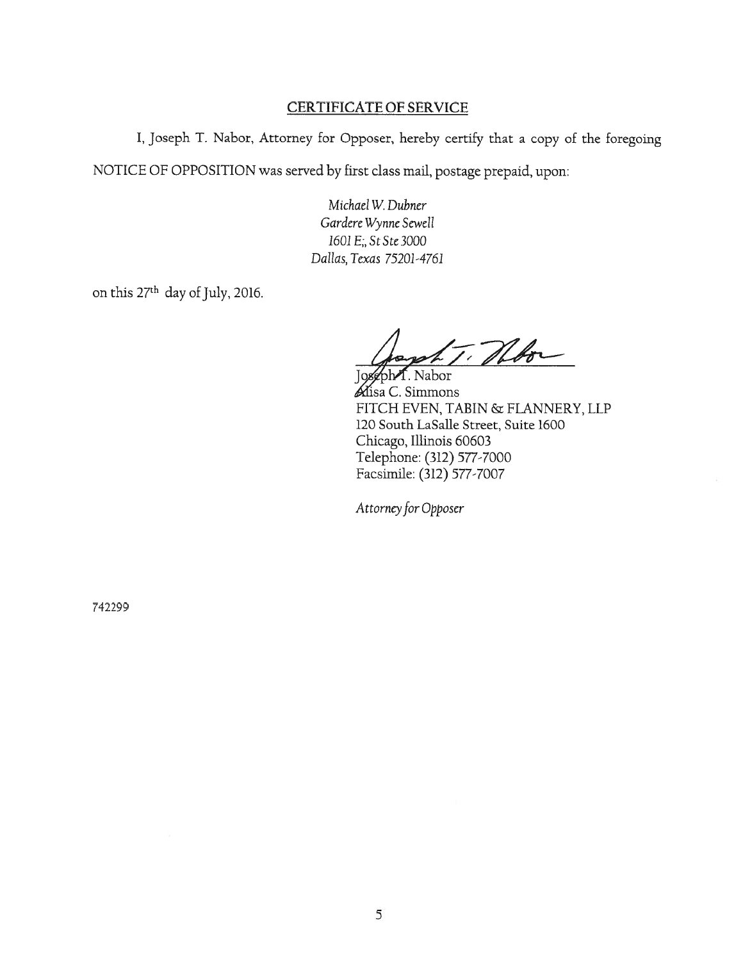#### **CERTIFICATE OF SERVICE**

I, Joseph T. Nabor, Attorney for Opposer, hereby certify that a copy of the foregoing NOTICE OF OPPOSITION was served by first class mail, postage prepaid, upon:

> Michael W. Dubner Gardere Wynne Sewell 1601 E;, St Ste 3000 Dallas, Texas 75201-4761

on this 27<sup>th</sup> day of July, 2016.

T. Theor f. Nabor

Alisa C. Simmons FITCH EVEN, TABIN & FLANNERY, LLP 120 South LaSalle Street, Suite 1600 Chicago, Illinois 60603 Telephone: (312) 577-7000 Facsimile: (312) 577-7007

Attorney for Opposer

742299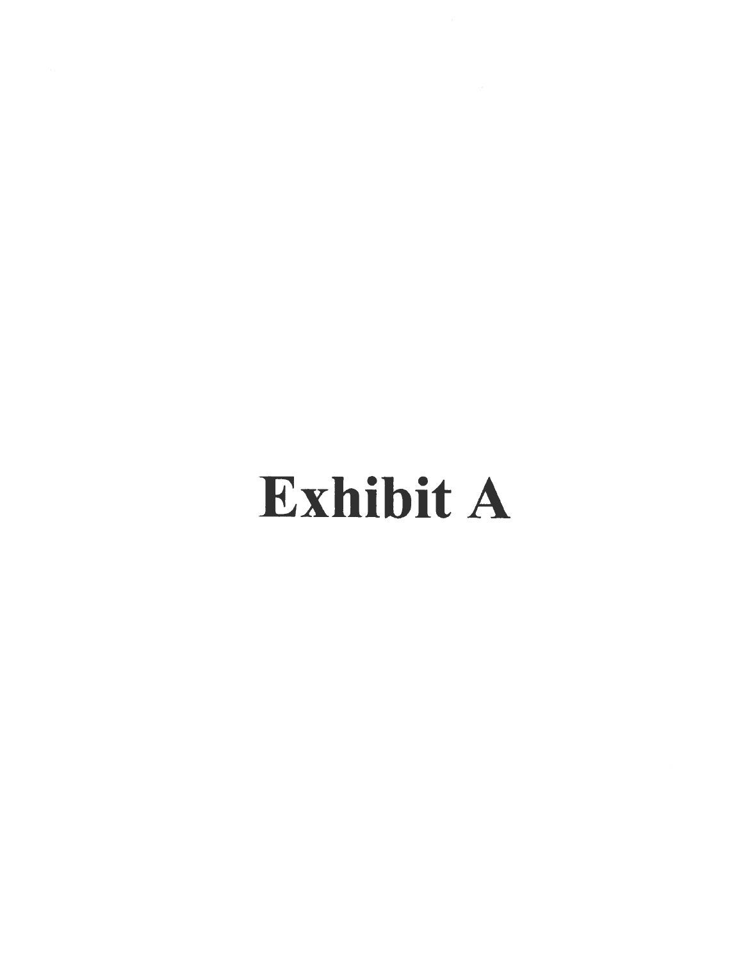# **Exhibit A**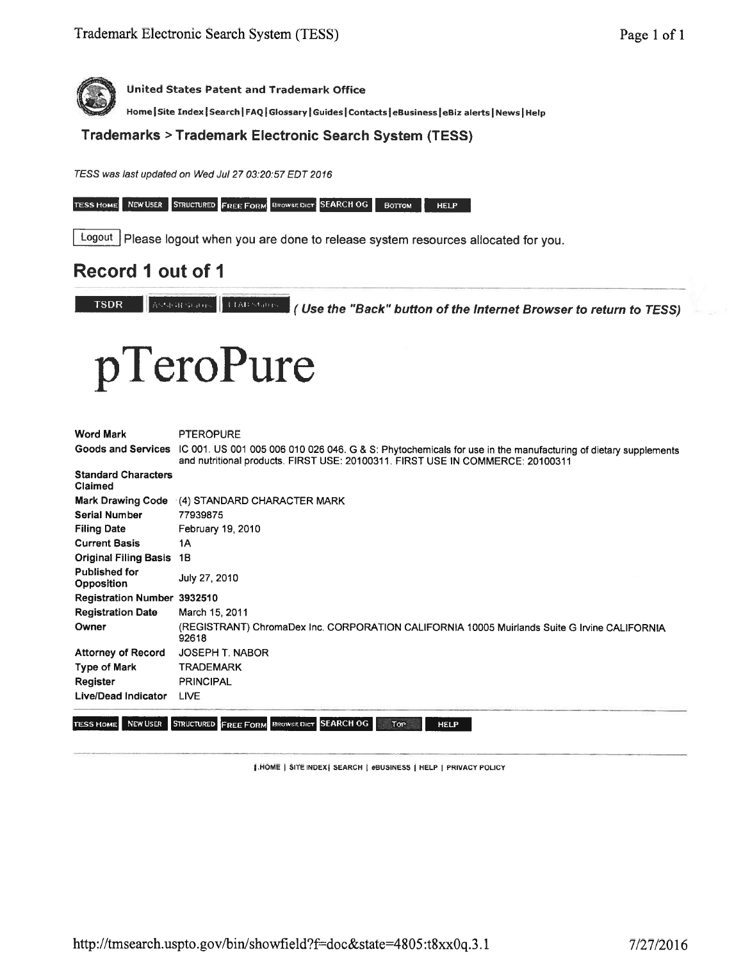

Home | Site Index | Search | FAQ | Glossary | Guides | Contacts | eBusiness | eBiz alerts | News | Help

**Trademarks > Trademark Electronic Search System (TESS)** 

TESS was last updated on Wed Jul 27 03:20:57 EDT 2016

TESS HOME NEW USER STRUCTURED FREE FORM BROWSE DICT SEARCH OG BOTTOM HELP

Logout | Please logout when you are done to release system resources allocated for you.

# Record 1 out of 1

Assemblance | LtARStates | (Use the "Back" button of the Internet Browser to return to TESS) **TSDR** 

# pTeroPure

| <b>Word Mark</b>                          | <b>PTEROPURE</b>                                                                                                                                                                                                   |
|-------------------------------------------|--------------------------------------------------------------------------------------------------------------------------------------------------------------------------------------------------------------------|
|                                           | Goods and Services IC 001. US 001 005 006 010 026 046. G & S: Phytochemicals for use in the manufacturing of dietary supplements<br>and nutritional products. FIRST USE: 20100311. FIRST USE IN COMMERCE: 20100311 |
| <b>Standard Characters</b><br>Claimed     |                                                                                                                                                                                                                    |
|                                           | Mark Drawing Code (4) STANDARD CHARACTER MARK                                                                                                                                                                      |
| <b>Serial Number</b>                      | 77939875                                                                                                                                                                                                           |
| <b>Filing Date</b>                        | February 19, 2010                                                                                                                                                                                                  |
| <b>Current Basis</b>                      | 1Α                                                                                                                                                                                                                 |
| <b>Original Filing Basis</b>              | 18                                                                                                                                                                                                                 |
| <b>Published for</b><br><b>Opposition</b> | July 27, 2010                                                                                                                                                                                                      |
| <b>Registration Number 3932510</b>        |                                                                                                                                                                                                                    |
| <b>Registration Date</b>                  | March 15, 2011                                                                                                                                                                                                     |
| Owner                                     | (REGISTRANT) ChromaDex Inc. CORPORATION CALIFORNIA 10005 Muirlands Suite G Irvine CALIFORNIA<br>92618                                                                                                              |
| <b>Attorney of Record</b>                 | JOSEPH T. NABOR                                                                                                                                                                                                    |
| Type of Mark                              | <b>TRADEMARK</b>                                                                                                                                                                                                   |
| Register                                  | PRINCIPAL                                                                                                                                                                                                          |
| Live/Dead Indicator                       | <b>LIVE</b>                                                                                                                                                                                                        |

TESS HOME NEW USER STRUCTURED FREE FORM BROWSE DICT SEARCH OG

HELP Top

|.HOME | SITE INDEX| SEARCH | eBUSINESS | HELP | PRIVACY POLICY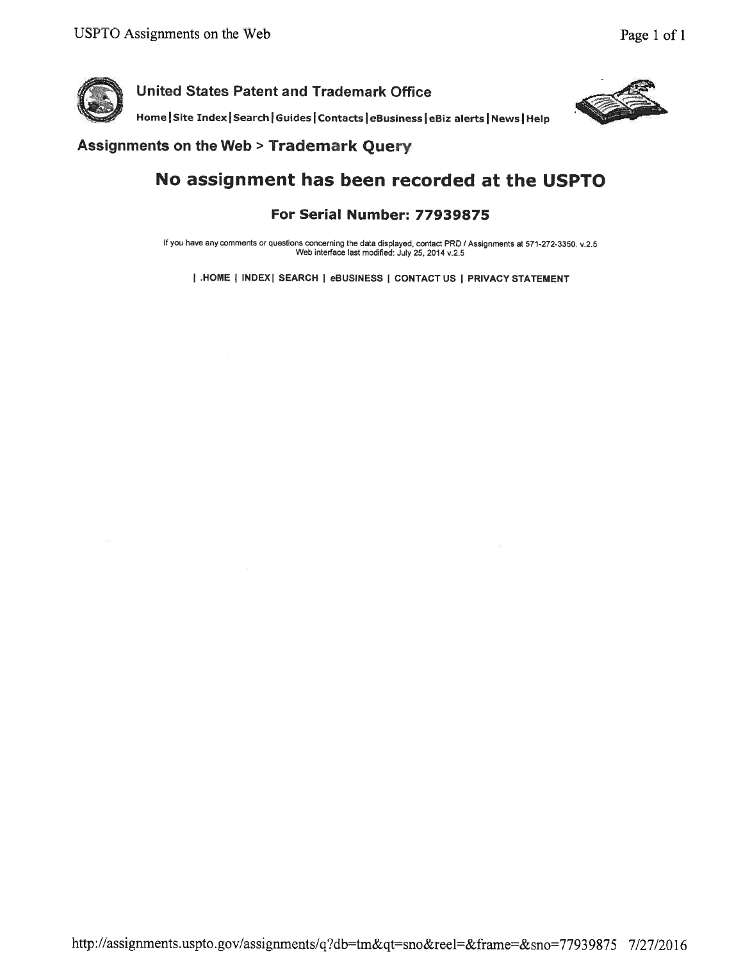

Home Site Index | Search | Guides | Contacts | eBusiness | eBiz alerts | News | Help



### **Assignments on the Web > Trademark Query**

# No assignment has been recorded at the USPTO

### For Serial Number: 77939875

If you have any comments or questions concerning the data displayed, contact PRD / Assignments at 571-272-3350. v.2.5 Web interface last modified: July 25, 2014 v.2.5

| .HOME | INDEX | SEARCH | eBUSINESS | CONTACT US | PRIVACY STATEMENT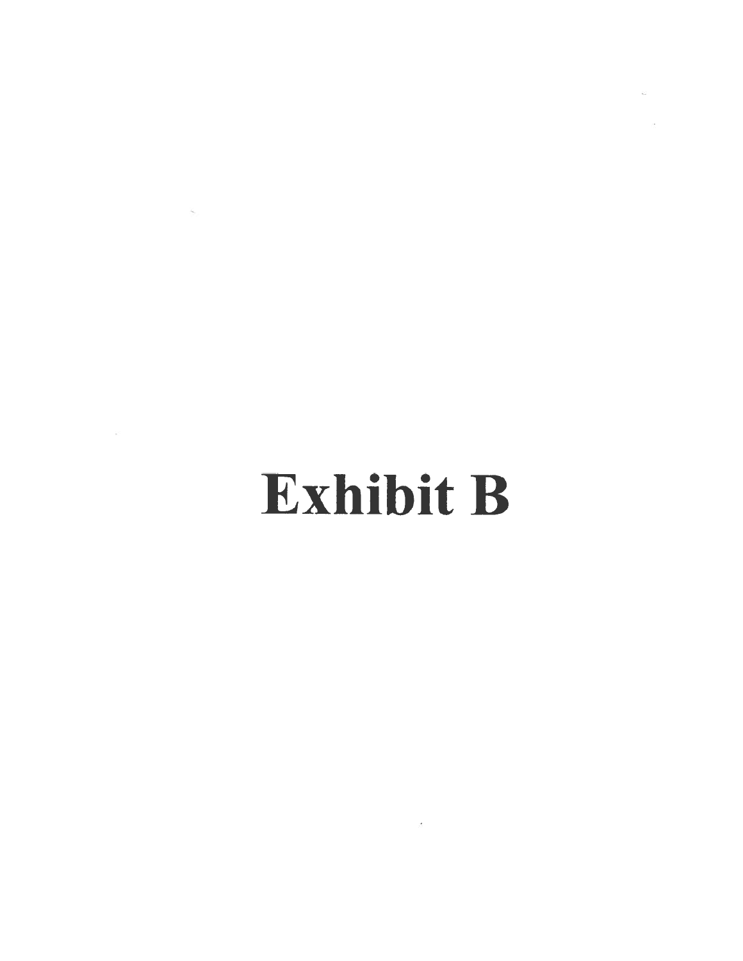# Exhibit B

 $\overline{E}$ 

 $\mathcal{L} = \mathcal{L} \mathcal{L} \mathcal{L}$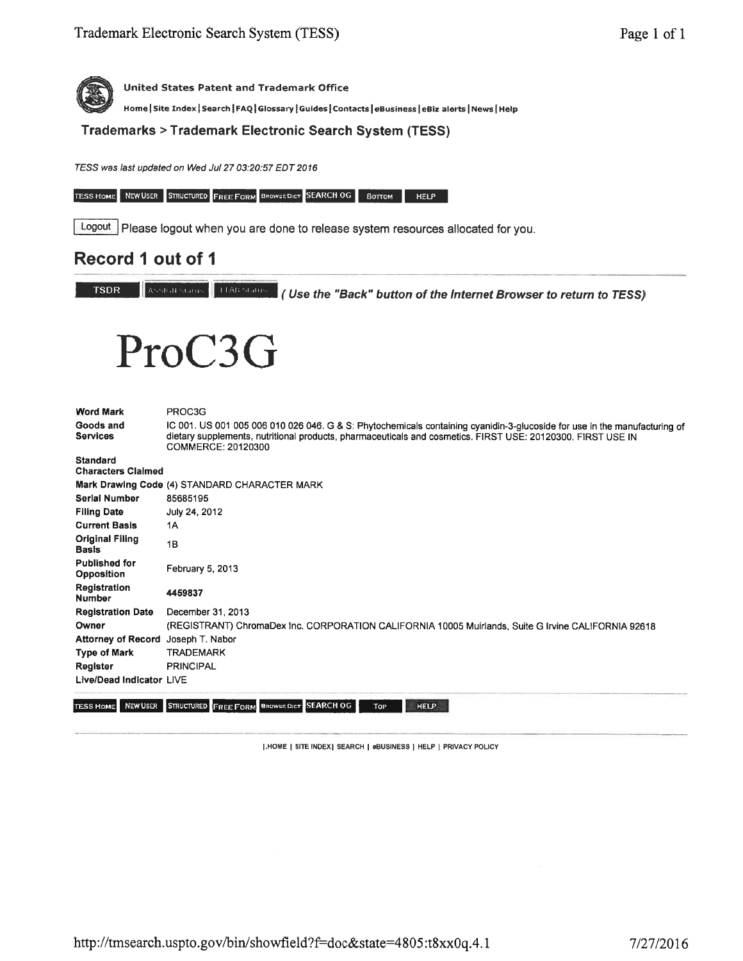Home | Site Index | Search | FAQ | Glossary | Guides | Contacts | eBusiness | eBiz alerts | News | Help

Trademarks > Trademark Electronic Search System (TESS)

TESS was last updated on Wed Jul 27 03:20:57 EDT 2016

TESS HOME NEW USER STRUCTURED FREE FORM BROWSE DICT SEARCH OG BOTTOM HELP

Logout Please logout when you are done to release system resources allocated for you.

## Record 1 out of 1

**TSDR** 

Assisted States (Use the "Back" button of the Internet Browser to return to TESS)



| <b>Word Mark</b><br>Goods and<br><b>Services</b> | PROC3G<br>IC 001. US 001 005 006 010 026 046. G & S: Phytochemicals containing cyanidin-3-glucoside for use in the manufacturing of<br>dietary supplements, nutritional products, pharmaceuticals and cosmetics. FIRST USE: 20120300, FIRST USE IN<br>COMMERCE: 20120300 |
|--------------------------------------------------|--------------------------------------------------------------------------------------------------------------------------------------------------------------------------------------------------------------------------------------------------------------------------|
| <b>Standard</b><br><b>Characters Claimed</b>     |                                                                                                                                                                                                                                                                          |
|                                                  | Mark Drawing Code (4) STANDARD CHARACTER MARK                                                                                                                                                                                                                            |
| <b>Serial Number</b>                             | 85685195                                                                                                                                                                                                                                                                 |
| <b>Filing Date</b>                               | July 24, 2012                                                                                                                                                                                                                                                            |
| <b>Current Basis</b>                             | 1A                                                                                                                                                                                                                                                                       |
| <b>Original Filing</b><br><b>Basis</b>           | 1B                                                                                                                                                                                                                                                                       |
| <b>Published for</b><br>Opposition               | February 5, 2013                                                                                                                                                                                                                                                         |
| Registration<br><b>Number</b>                    | 4459837                                                                                                                                                                                                                                                                  |
| <b>Registration Date</b>                         | December 31, 2013                                                                                                                                                                                                                                                        |
| Owner                                            | (REGISTRANT) ChromaDex Inc. CORPORATION CALIFORNIA 10005 Muirlands, Suite G Irvine CALIFORNIA 92618                                                                                                                                                                      |
| Attorney of Record Joseph T. Nabor               |                                                                                                                                                                                                                                                                          |
| Type of Mark                                     | <b>TRADEMARK</b>                                                                                                                                                                                                                                                         |
| Register                                         | <b>PRINCIPAL</b>                                                                                                                                                                                                                                                         |
| Live/Dead Indicator LIVE                         |                                                                                                                                                                                                                                                                          |
| NEW USER<br><b>TESS HOME</b>                     | STRUCTURED FREE FORM BROWSEDICT SEARCH OG<br><b>HELP</b><br>Top                                                                                                                                                                                                          |

[.HOME | SITE INDEX] SEARCH | OBUSINESS | HELP | PRIVACY POLICY